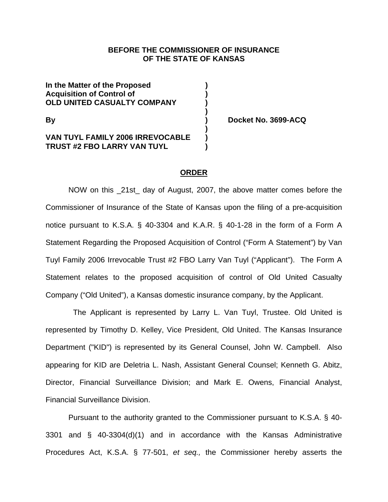# **BEFORE THE COMMISSIONER OF INSURANCE OF THE STATE OF KANSAS**

**In the Matter of the Proposed ) Acquisition of Control of ) OLD UNITED CASUALTY COMPANY )** 

## **VAN TUYL FAMILY 2006 IRREVOCABLE ) TRUST #2 FBO LARRY VAN TUYL )**

 **)** 

**By ) Docket No. 3699-ACQ** 

# **ORDER**

NOW on this 21st day of August, 2007, the above matter comes before the Commissioner of Insurance of the State of Kansas upon the filing of a pre-acquisition notice pursuant to K.S.A. § 40-3304 and K.A.R. § 40-1-28 in the form of a Form A Statement Regarding the Proposed Acquisition of Control ("Form A Statement") by Van Tuyl Family 2006 Irrevocable Trust #2 FBO Larry Van Tuyl ("Applicant"). The Form A Statement relates to the proposed acquisition of control of Old United Casualty Company ("Old United"), a Kansas domestic insurance company, by the Applicant.

 The Applicant is represented by Larry L. Van Tuyl, Trustee. Old United is represented by Timothy D. Kelley, Vice President, Old United. The Kansas Insurance Department ("KID") is represented by its General Counsel, John W. Campbell. Also appearing for KID are Deletria L. Nash, Assistant General Counsel; Kenneth G. Abitz, Director, Financial Surveillance Division; and Mark E. Owens, Financial Analyst, Financial Surveillance Division.

Pursuant to the authority granted to the Commissioner pursuant to K.S.A. § 40- 3301 and § 40-3304(d)(1) and in accordance with the Kansas Administrative Procedures Act, K.S.A. § 77-501, *et seq.,* the Commissioner hereby asserts the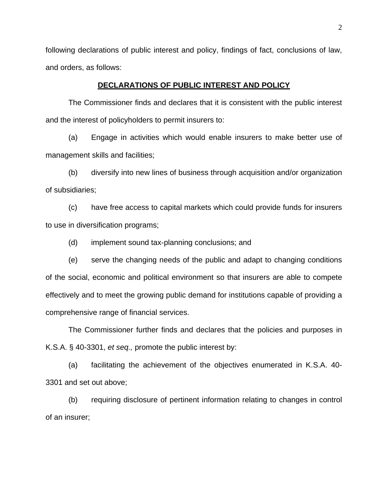following declarations of public interest and policy, findings of fact, conclusions of law, and orders, as follows:

### **DECLARATIONS OF PUBLIC INTEREST AND POLICY**

 The Commissioner finds and declares that it is consistent with the public interest and the interest of policyholders to permit insurers to:

(a) Engage in activities which would enable insurers to make better use of management skills and facilities;

(b) diversify into new lines of business through acquisition and/or organization of subsidiaries;

(c) have free access to capital markets which could provide funds for insurers to use in diversification programs;

(d) implement sound tax-planning conclusions; and

(e) serve the changing needs of the public and adapt to changing conditions of the social, economic and political environment so that insurers are able to compete effectively and to meet the growing public demand for institutions capable of providing a comprehensive range of financial services.

The Commissioner further finds and declares that the policies and purposes in K.S.A. § 40-3301, *et seq.,* promote the public interest by:

(a) facilitating the achievement of the objectives enumerated in K.S.A. 40- 3301 and set out above;

(b) requiring disclosure of pertinent information relating to changes in control of an insurer;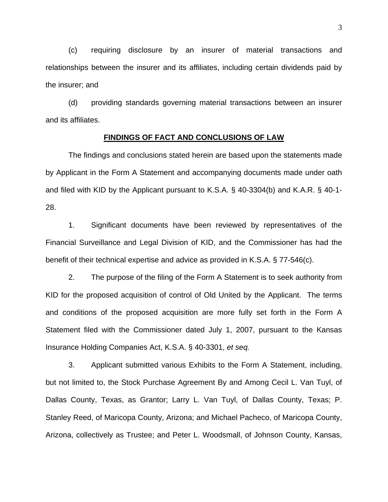(c) requiring disclosure by an insurer of material transactions and relationships between the insurer and its affiliates, including certain dividends paid by the insurer; and

(d) providing standards governing material transactions between an insurer and its affiliates.

#### **FINDINGS OF FACT AND CONCLUSIONS OF LAW**

The findings and conclusions stated herein are based upon the statements made by Applicant in the Form A Statement and accompanying documents made under oath and filed with KID by the Applicant pursuant to K.S.A. § 40-3304(b) and K.A.R. § 40-1- 28.

1. Significant documents have been reviewed by representatives of the Financial Surveillance and Legal Division of KID, and the Commissioner has had the benefit of their technical expertise and advice as provided in K.S.A. § 77-546(c).

 2. The purpose of the filing of the Form A Statement is to seek authority from KID for the proposed acquisition of control of Old United by the Applicant. The terms and conditions of the proposed acquisition are more fully set forth in the Form A Statement filed with the Commissioner dated July 1, 2007, pursuant to the Kansas Insurance Holding Companies Act, K.S.A. § 40-3301, *et seq.*

 3. Applicant submitted various Exhibits to the Form A Statement, including, but not limited to, the Stock Purchase Agreement By and Among Cecil L. Van Tuyl, of Dallas County, Texas, as Grantor; Larry L. Van Tuyl, of Dallas County, Texas; P. Stanley Reed, of Maricopa County, Arizona; and Michael Pacheco, of Maricopa County, Arizona, collectively as Trustee; and Peter L. Woodsmall, of Johnson County, Kansas,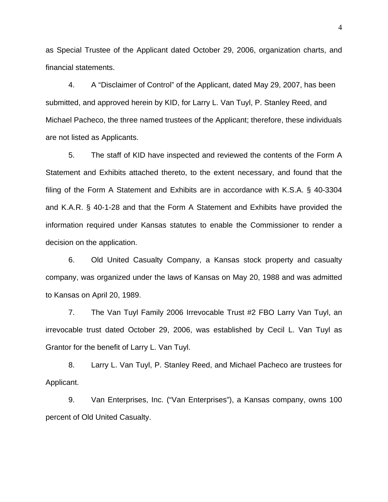as Special Trustee of the Applicant dated October 29, 2006, organization charts, and financial statements.

4. A "Disclaimer of Control" of the Applicant, dated May 29, 2007, has been submitted, and approved herein by KID, for Larry L. Van Tuyl, P. Stanley Reed, and Michael Pacheco, the three named trustees of the Applicant; therefore, these individuals are not listed as Applicants.

5. The staff of KID have inspected and reviewed the contents of the Form A Statement and Exhibits attached thereto, to the extent necessary, and found that the filing of the Form A Statement and Exhibits are in accordance with K.S.A. § 40-3304 and K.A.R. § 40-1-28 and that the Form A Statement and Exhibits have provided the information required under Kansas statutes to enable the Commissioner to render a decision on the application.

6. Old United Casualty Company, a Kansas stock property and casualty company, was organized under the laws of Kansas on May 20, 1988 and was admitted to Kansas on April 20, 1989.

7. The Van Tuyl Family 2006 Irrevocable Trust #2 FBO Larry Van Tuyl, an irrevocable trust dated October 29, 2006, was established by Cecil L. Van Tuyl as Grantor for the benefit of Larry L. Van Tuyl.

8. Larry L. Van Tuyl, P. Stanley Reed, and Michael Pacheco are trustees for Applicant.

9. Van Enterprises, Inc. ("Van Enterprises"), a Kansas company, owns 100 percent of Old United Casualty.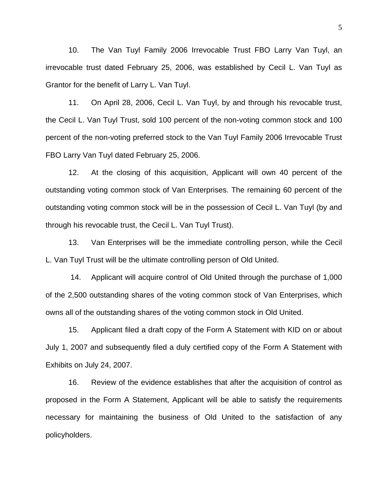10. The Van Tuyl Family 2006 Irrevocable Trust FBO Larry Van Tuyl, an irrevocable trust dated February 25, 2006, was established by Cecil L. Van Tuyl as Grantor for the benefit of Larry L. Van Tuyl.

11. On April 28, 2006, Cecil L. Van Tuyl, by and through his revocable trust, the Cecil L. Van Tuyl Trust, sold 100 percent of the non-voting common stock and 100 percent of the non-voting preferred stock to the Van Tuyl Family 2006 Irrevocable Trust FBO Larry Van Tuyl dated February 25, 2006.

12. At the closing of this acquisition, Applicant will own 40 percent of the outstanding voting common stock of Van Enterprises. The remaining 60 percent of the outstanding voting common stock will be in the possession of Cecil L. Van Tuyl (by and through his revocable trust, the Cecil L. Van Tuyl Trust).

13. Van Enterprises will be the immediate controlling person, while the Cecil L. Van Tuyl Trust will be the ultimate controlling person of Old United.

 14. Applicant will acquire control of Old United through the purchase of 1,000 of the 2,500 outstanding shares of the voting common stock of Van Enterprises, which owns all of the outstanding shares of the voting common stock in Old United.

15. Applicant filed a draft copy of the Form A Statement with KID on or about July 1, 2007 and subsequently filed a duly certified copy of the Form A Statement with Exhibits on July 24, 2007.

16. Review of the evidence establishes that after the acquisition of control as proposed in the Form A Statement, Applicant will be able to satisfy the requirements necessary for maintaining the business of Old United to the satisfaction of any policyholders.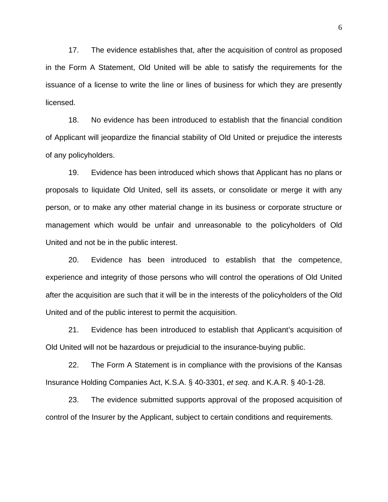17. The evidence establishes that, after the acquisition of control as proposed in the Form A Statement, Old United will be able to satisfy the requirements for the issuance of a license to write the line or lines of business for which they are presently licensed.

18. No evidence has been introduced to establish that the financial condition of Applicant will jeopardize the financial stability of Old United or prejudice the interests of any policyholders.

19. Evidence has been introduced which shows that Applicant has no plans or proposals to liquidate Old United, sell its assets, or consolidate or merge it with any person, or to make any other material change in its business or corporate structure or management which would be unfair and unreasonable to the policyholders of Old United and not be in the public interest.

20. Evidence has been introduced to establish that the competence, experience and integrity of those persons who will control the operations of Old United after the acquisition are such that it will be in the interests of the policyholders of the Old United and of the public interest to permit the acquisition.

21. Evidence has been introduced to establish that Applicant's acquisition of Old United will not be hazardous or prejudicial to the insurance-buying public.

22. The Form A Statement is in compliance with the provisions of the Kansas Insurance Holding Companies Act, K.S.A. § 40-3301, *et seq*. and K.A.R. § 40-1-28.

23. The evidence submitted supports approval of the proposed acquisition of control of the Insurer by the Applicant, subject to certain conditions and requirements.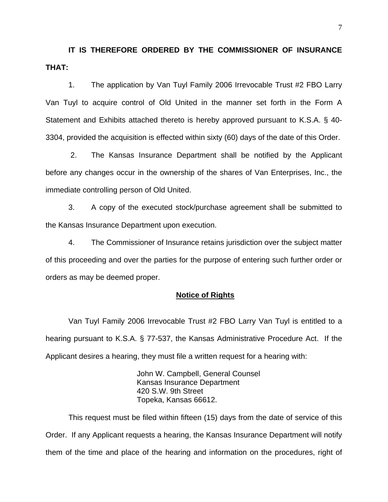**IT IS THEREFORE ORDERED BY THE COMMISSIONER OF INSURANCE THAT:** 

 1. The application by Van Tuyl Family 2006 Irrevocable Trust #2 FBO Larry Van Tuyl to acquire control of Old United in the manner set forth in the Form A Statement and Exhibits attached thereto is hereby approved pursuant to K.S.A. § 40- 3304, provided the acquisition is effected within sixty (60) days of the date of this Order.

 2. The Kansas Insurance Department shall be notified by the Applicant before any changes occur in the ownership of the shares of Van Enterprises, Inc., the immediate controlling person of Old United.

3. A copy of the executed stock/purchase agreement shall be submitted to the Kansas Insurance Department upon execution.

4. The Commissioner of Insurance retains jurisdiction over the subject matter of this proceeding and over the parties for the purpose of entering such further order or orders as may be deemed proper.

#### **Notice of Rights**

 Van Tuyl Family 2006 Irrevocable Trust #2 FBO Larry Van Tuyl is entitled to a hearing pursuant to K.S.A. § 77-537, the Kansas Administrative Procedure Act. If the Applicant desires a hearing, they must file a written request for a hearing with:

> John W. Campbell, General Counsel Kansas Insurance Department 420 S.W. 9th Street Topeka, Kansas 66612.

 This request must be filed within fifteen (15) days from the date of service of this Order. If any Applicant requests a hearing, the Kansas Insurance Department will notify them of the time and place of the hearing and information on the procedures, right of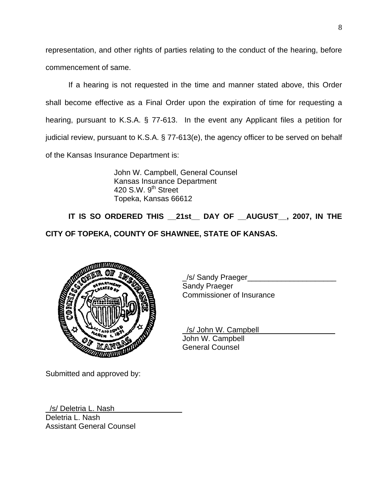representation, and other rights of parties relating to the conduct of the hearing, before commencement of same.

 If a hearing is not requested in the time and manner stated above, this Order shall become effective as a Final Order upon the expiration of time for requesting a hearing, pursuant to K.S.A. § 77-613. In the event any Applicant files a petition for judicial review, pursuant to K.S.A. § 77-613(e), the agency officer to be served on behalf of the Kansas Insurance Department is:

> John W. Campbell, General Counsel Kansas Insurance Department 420 S.W.  $9<sup>th</sup>$  Street Topeka, Kansas 66612

**IT IS SO ORDERED THIS \_\_21st\_\_ DAY OF \_\_AUGUST\_\_, 2007, IN THE CITY OF TOPEKA, COUNTY OF SHAWNEE, STATE OF KANSAS.** 



\_/s/ Sandy Praeger\_\_\_\_\_\_\_\_\_\_\_\_\_\_\_\_\_\_\_\_\_ Sandy Praeger Commissioner of Insurance

 \_/s/ John W. Campbell\_\_\_\_\_\_\_\_\_\_\_\_\_\_\_\_\_\_ John W. Campbell General Counsel

Submitted and approved by:

\_/s/ Deletria L. Nash\_\_\_\_\_\_\_\_\_\_\_\_\_\_\_\_ Deletria L. Nash Assistant General Counsel